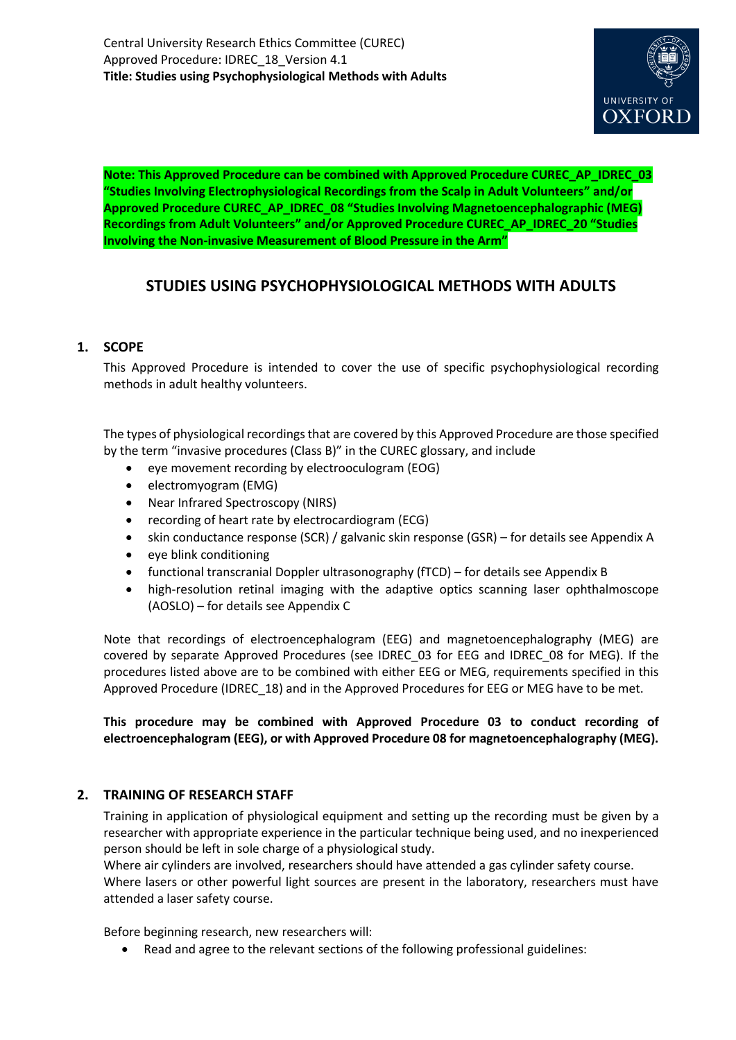

**Note: This Approved Procedure can be combined with Approved Procedure CUREC\_AP\_IDREC\_03 "Studies Involving Electrophysiological Recordings from the Scalp in Adult Volunteers" and/or Approved Procedure CUREC\_AP\_IDREC\_08 "Studies Involving Magnetoencephalographic (MEG) Recordings from Adult Volunteers" and/or Approved Procedure CUREC\_AP\_IDREC\_20 "Studies Involving the Non-invasive Measurement of Blood Pressure in the Arm"**

# **STUDIES USING PSYCHOPHYSIOLOGICAL METHODS WITH ADULTS**

# **1. SCOPE**

This Approved Procedure is intended to cover the use of specific psychophysiological recording methods in adult healthy volunteers.

The types of physiological recordings that are covered by this Approved Procedure are those specified by the term "invasive procedures (Class B)" in the CUREC glossary, and include

- eye movement recording by electrooculogram (EOG)
- electromyogram (EMG)
- Near Infrared Spectroscopy (NIRS)
- recording of heart rate by electrocardiogram (ECG)
- skin conductance response (SCR) / galvanic skin response (GSR) for details see Appendix A
- eye blink conditioning
- functional transcranial Doppler ultrasonography (fTCD) for details see Appendix B
- high-resolution retinal imaging with the adaptive optics scanning laser ophthalmoscope (AOSLO) – for details see Appendix C

Note that recordings of electroencephalogram (EEG) and magnetoencephalography (MEG) are covered by separate Approved Procedures (see IDREC\_03 for EEG and IDREC\_08 for MEG). If the procedures listed above are to be combined with either EEG or MEG, requirements specified in this Approved Procedure (IDREC\_18) and in the Approved Procedures for EEG or MEG have to be met.

**This procedure may be combined with Approved Procedure 03 to conduct recording of electroencephalogram (EEG), or with Approved Procedure 08 for magnetoencephalography (MEG).**

## **2. TRAINING OF RESEARCH STAFF**

Training in application of physiological equipment and setting up the recording must be given by a researcher with appropriate experience in the particular technique being used, and no inexperienced person should be left in sole charge of a physiological study.

Where air cylinders are involved, researchers should have attended a gas cylinder safety course. Where lasers or other powerful light sources are present in the laboratory, researchers must have attended a laser safety course.

Before beginning research, new researchers will:

Read and agree to the relevant sections of the following professional guidelines: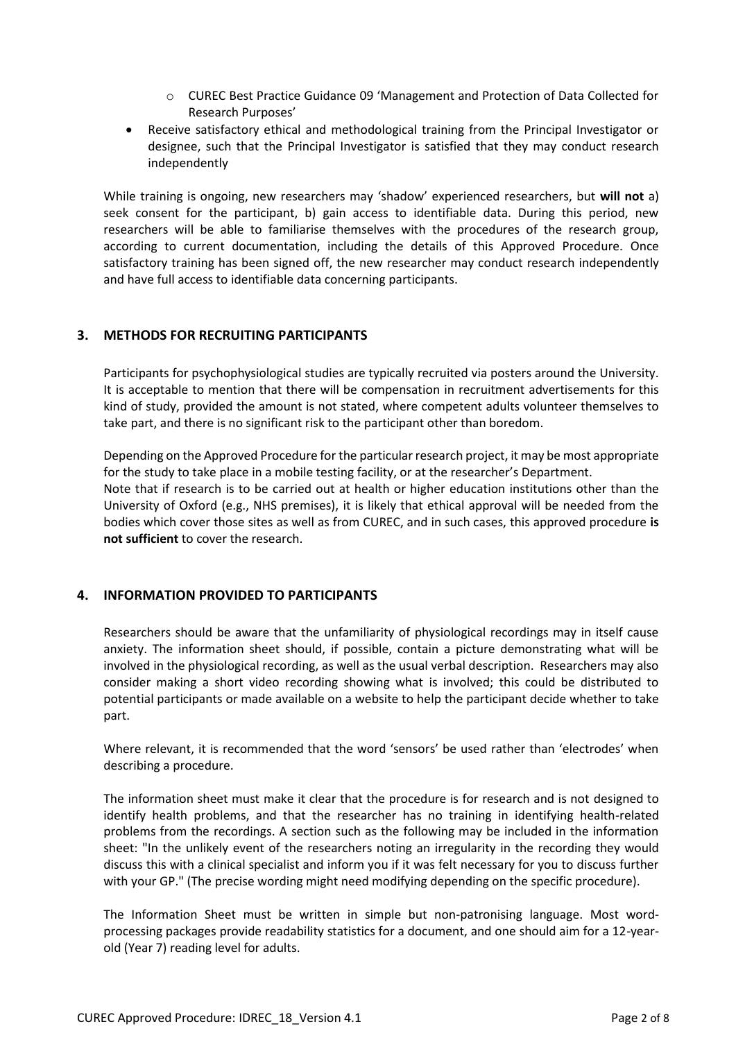- o CUREC Best Practice Guidance 09 'Management and Protection of Data Collected for Research Purposes'
- Receive satisfactory ethical and methodological training from the Principal Investigator or designee, such that the Principal Investigator is satisfied that they may conduct research independently

While training is ongoing, new researchers may 'shadow' experienced researchers, but **will not** a) seek consent for the participant, b) gain access to identifiable data. During this period, new researchers will be able to familiarise themselves with the procedures of the research group, according to current documentation, including the details of this Approved Procedure. Once satisfactory training has been signed off, the new researcher may conduct research independently and have full access to identifiable data concerning participants.

## **3. METHODS FOR RECRUITING PARTICIPANTS**

Participants for psychophysiological studies are typically recruited via posters around the University. It is acceptable to mention that there will be compensation in recruitment advertisements for this kind of study, provided the amount is not stated, where competent adults volunteer themselves to take part, and there is no significant risk to the participant other than boredom.

Depending on the Approved Procedure for the particular research project, it may be most appropriate for the study to take place in a mobile testing facility, or at the researcher's Department. Note that if research is to be carried out at health or higher education institutions other than the University of Oxford (e.g., NHS premises), it is likely that ethical approval will be needed from the bodies which cover those sites as well as from CUREC, and in such cases, this approved procedure **is not sufficient** to cover the research.

## **4. INFORMATION PROVIDED TO PARTICIPANTS**

Researchers should be aware that the unfamiliarity of physiological recordings may in itself cause anxiety. The information sheet should, if possible, contain a picture demonstrating what will be involved in the physiological recording, as well as the usual verbal description. Researchers may also consider making a short video recording showing what is involved; this could be distributed to potential participants or made available on a website to help the participant decide whether to take part.

Where relevant, it is recommended that the word 'sensors' be used rather than 'electrodes' when describing a procedure.

The information sheet must make it clear that the procedure is for research and is not designed to identify health problems, and that the researcher has no training in identifying health-related problems from the recordings. A section such as the following may be included in the information sheet: "In the unlikely event of the researchers noting an irregularity in the recording they would discuss this with a clinical specialist and inform you if it was felt necessary for you to discuss further with your GP." (The precise wording might need modifying depending on the specific procedure).

The Information Sheet must be written in simple but non-patronising language. Most wordprocessing packages provide readability statistics for a document, and one should aim for a 12-yearold (Year 7) reading level for adults.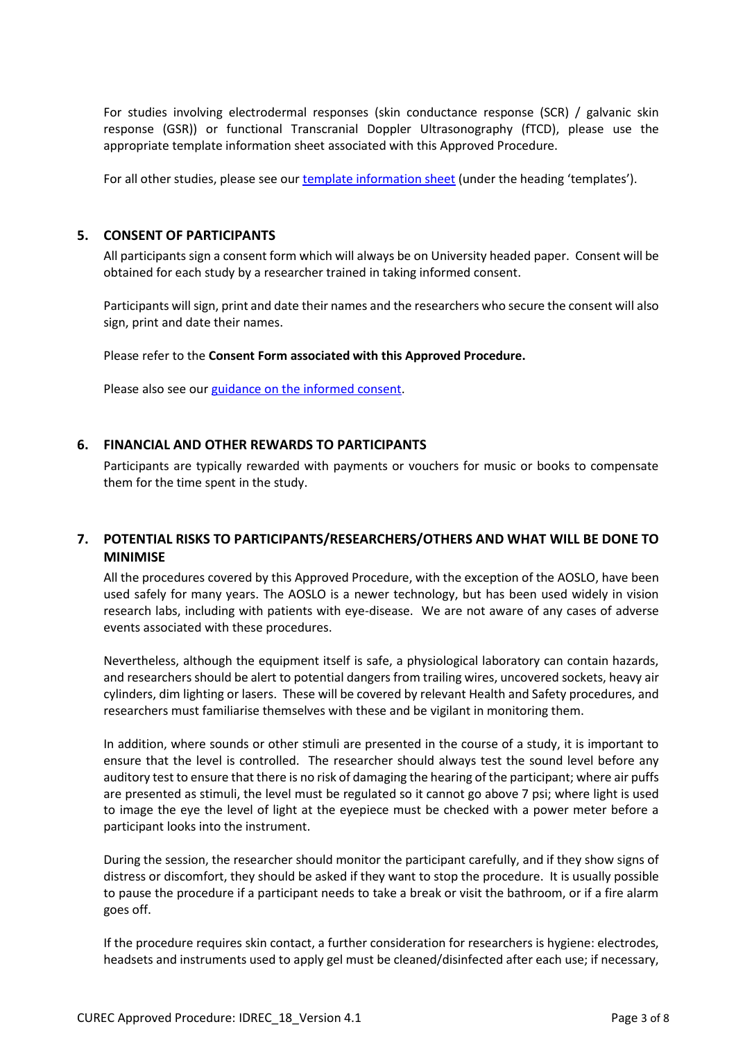For studies involving electrodermal responses (skin conductance response (SCR) / galvanic skin response (GSR)) or functional Transcranial Doppler Ultrasonography (fTCD), please use the appropriate template information sheet associated with this Approved Procedure.

For all other studies, please see ou[r template information sheet](https://researchsupport.admin.ox.ac.uk/governance/ethics/resources/consent#collapse281101) (under the heading 'templates').

## **5. CONSENT OF PARTICIPANTS**

All participants sign a consent form which will always be on University headed paper. Consent will be obtained for each study by a researcher trained in taking informed consent.

Participants will sign, print and date their names and the researchers who secure the consent will also sign, print and date their names.

Please refer to the **Consent Form associated with this Approved Procedure.**

Please also see our [guidance on the informed consent.](http://researchsupport.admin.ox.ac.uk/governance/ethics/resources/consent)

#### **6. FINANCIAL AND OTHER REWARDS TO PARTICIPANTS**

Participants are typically rewarded with payments or vouchers for music or books to compensate them for the time spent in the study.

# **7. POTENTIAL RISKS TO PARTICIPANTS/RESEARCHERS/OTHERS AND WHAT WILL BE DONE TO MINIMISE**

All the procedures covered by this Approved Procedure, with the exception of the AOSLO, have been used safely for many years. The AOSLO is a newer technology, but has been used widely in vision research labs, including with patients with eye-disease. We are not aware of any cases of adverse events associated with these procedures.

Nevertheless, although the equipment itself is safe, a physiological laboratory can contain hazards, and researchers should be alert to potential dangers from trailing wires, uncovered sockets, heavy air cylinders, dim lighting or lasers. These will be covered by relevant Health and Safety procedures, and researchers must familiarise themselves with these and be vigilant in monitoring them.

In addition, where sounds or other stimuli are presented in the course of a study, it is important to ensure that the level is controlled. The researcher should always test the sound level before any auditory test to ensure that there is no risk of damaging the hearing of the participant; where air puffs are presented as stimuli, the level must be regulated so it cannot go above 7 psi; where light is used to image the eye the level of light at the eyepiece must be checked with a power meter before a participant looks into the instrument.

During the session, the researcher should monitor the participant carefully, and if they show signs of distress or discomfort, they should be asked if they want to stop the procedure. It is usually possible to pause the procedure if a participant needs to take a break or visit the bathroom, or if a fire alarm goes off.

If the procedure requires skin contact, a further consideration for researchers is hygiene: electrodes, headsets and instruments used to apply gel must be cleaned/disinfected after each use; if necessary,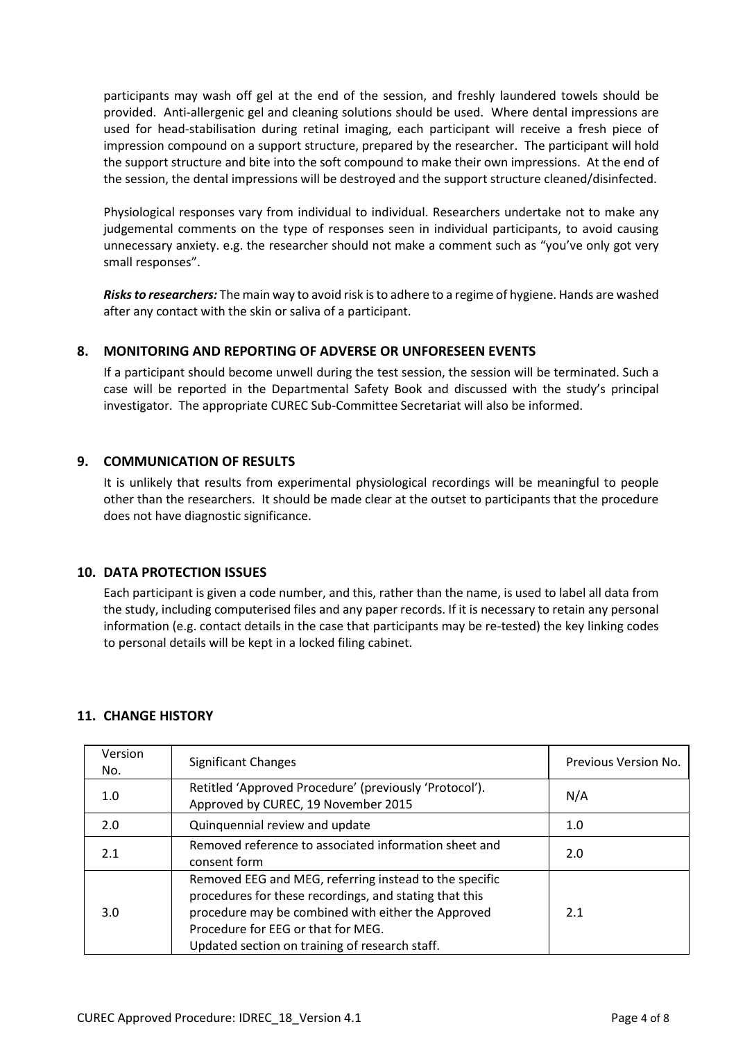participants may wash off gel at the end of the session, and freshly laundered towels should be provided. Anti-allergenic gel and cleaning solutions should be used. Where dental impressions are used for head-stabilisation during retinal imaging, each participant will receive a fresh piece of impression compound on a support structure, prepared by the researcher. The participant will hold the support structure and bite into the soft compound to make their own impressions. At the end of the session, the dental impressions will be destroyed and the support structure cleaned/disinfected.

Physiological responses vary from individual to individual. Researchers undertake not to make any judgemental comments on the type of responses seen in individual participants, to avoid causing unnecessary anxiety. e.g. the researcher should not make a comment such as "you've only got very small responses".

*Risks to researchers:* The main way to avoid risk is to adhere to a regime of hygiene. Hands are washed after any contact with the skin or saliva of a participant.

#### **8. MONITORING AND REPORTING OF ADVERSE OR UNFORESEEN EVENTS**

If a participant should become unwell during the test session, the session will be terminated. Such a case will be reported in the Departmental Safety Book and discussed with the study's principal investigator. The appropriate CUREC Sub-Committee Secretariat will also be informed.

#### **9. COMMUNICATION OF RESULTS**

It is unlikely that results from experimental physiological recordings will be meaningful to people other than the researchers. It should be made clear at the outset to participants that the procedure does not have diagnostic significance.

#### **10. DATA PROTECTION ISSUES**

Each participant is given a code number, and this, rather than the name, is used to label all data from the study, including computerised files and any paper records. If it is necessary to retain any personal information (e.g. contact details in the case that participants may be re-tested) the key linking codes to personal details will be kept in a locked filing cabinet.

## **11. CHANGE HISTORY**

| Version<br>No. | <b>Significant Changes</b>                                                                                                                                                                                                                                     | Previous Version No. |
|----------------|----------------------------------------------------------------------------------------------------------------------------------------------------------------------------------------------------------------------------------------------------------------|----------------------|
| 1.0            | Retitled 'Approved Procedure' (previously 'Protocol').<br>Approved by CUREC, 19 November 2015                                                                                                                                                                  | N/A                  |
| 2.0            | Quinquennial review and update                                                                                                                                                                                                                                 | 1.0                  |
| 2.1            | Removed reference to associated information sheet and<br>consent form                                                                                                                                                                                          | 2.0                  |
| 3.0            | Removed EEG and MEG, referring instead to the specific<br>procedures for these recordings, and stating that this<br>procedure may be combined with either the Approved<br>Procedure for EEG or that for MEG.<br>Updated section on training of research staff. | 2.1                  |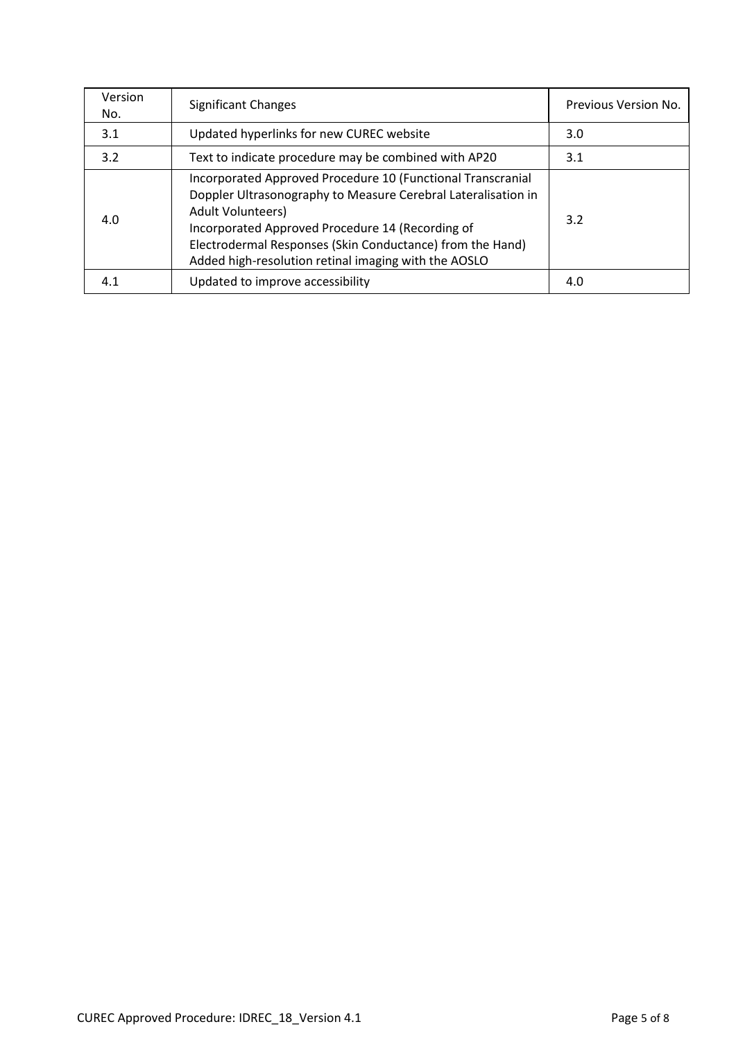| Version<br>No. | <b>Significant Changes</b>                                                                                                                                                                                                                                                                                                 | Previous Version No. |
|----------------|----------------------------------------------------------------------------------------------------------------------------------------------------------------------------------------------------------------------------------------------------------------------------------------------------------------------------|----------------------|
| 3.1            | Updated hyperlinks for new CUREC website                                                                                                                                                                                                                                                                                   | 3.0                  |
| 3.2            | Text to indicate procedure may be combined with AP20                                                                                                                                                                                                                                                                       | 3.1                  |
| 4.0            | Incorporated Approved Procedure 10 (Functional Transcranial<br>Doppler Ultrasonography to Measure Cerebral Lateralisation in<br>Adult Volunteers)<br>Incorporated Approved Procedure 14 (Recording of<br>Electrodermal Responses (Skin Conductance) from the Hand)<br>Added high-resolution retinal imaging with the AOSLO | 3.2                  |
| 4.1            | Updated to improve accessibility                                                                                                                                                                                                                                                                                           | 4.0                  |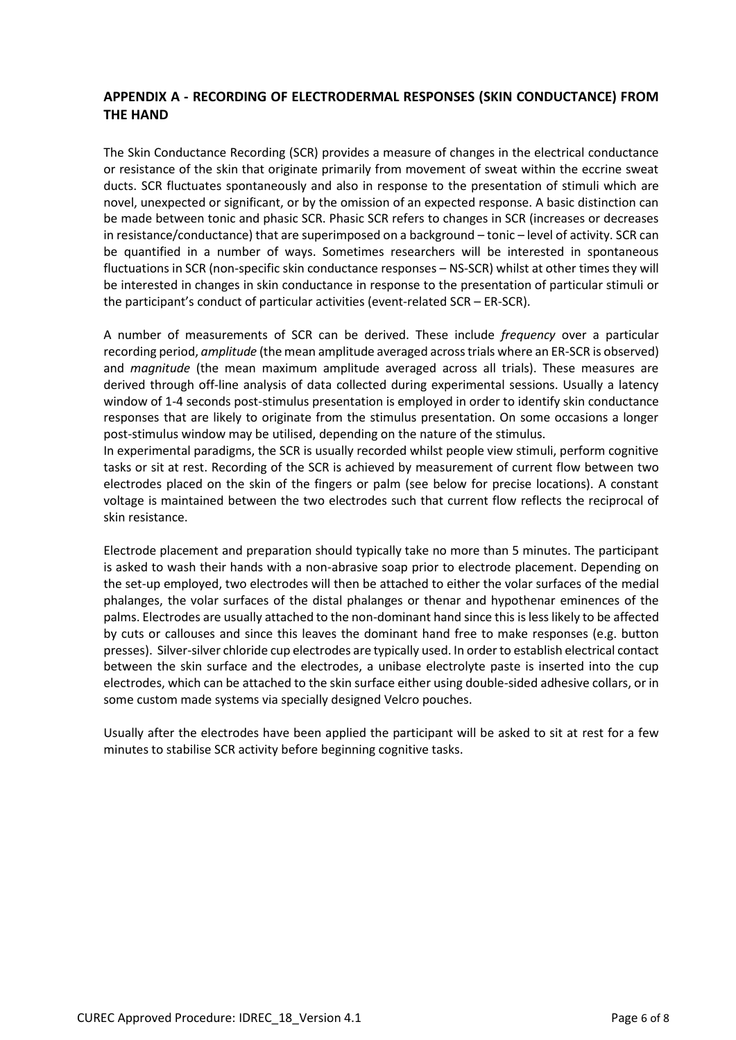# **APPENDIX A - RECORDING OF ELECTRODERMAL RESPONSES (SKIN CONDUCTANCE) FROM THE HAND**

The Skin Conductance Recording (SCR) provides a measure of changes in the electrical conductance or resistance of the skin that originate primarily from movement of sweat within the eccrine sweat ducts. SCR fluctuates spontaneously and also in response to the presentation of stimuli which are novel, unexpected or significant, or by the omission of an expected response. A basic distinction can be made between tonic and phasic SCR. Phasic SCR refers to changes in SCR (increases or decreases in resistance/conductance) that are superimposed on a background – tonic – level of activity. SCR can be quantified in a number of ways. Sometimes researchers will be interested in spontaneous fluctuations in SCR (non-specific skin conductance responses – NS-SCR) whilst at other times they will be interested in changes in skin conductance in response to the presentation of particular stimuli or the participant's conduct of particular activities (event-related SCR – ER-SCR).

A number of measurements of SCR can be derived. These include *frequency* over a particular recording period, *amplitude* (the mean amplitude averaged across trials where an ER-SCR is observed) and *magnitude* (the mean maximum amplitude averaged across all trials). These measures are derived through off-line analysis of data collected during experimental sessions. Usually a latency window of 1-4 seconds post-stimulus presentation is employed in order to identify skin conductance responses that are likely to originate from the stimulus presentation. On some occasions a longer post-stimulus window may be utilised, depending on the nature of the stimulus.

In experimental paradigms, the SCR is usually recorded whilst people view stimuli, perform cognitive tasks or sit at rest. Recording of the SCR is achieved by measurement of current flow between two electrodes placed on the skin of the fingers or palm (see below for precise locations). A constant voltage is maintained between the two electrodes such that current flow reflects the reciprocal of skin resistance.

Electrode placement and preparation should typically take no more than 5 minutes. The participant is asked to wash their hands with a non-abrasive soap prior to electrode placement. Depending on the set-up employed, two electrodes will then be attached to either the volar surfaces of the medial phalanges, the volar surfaces of the distal phalanges or thenar and hypothenar eminences of the palms. Electrodes are usually attached to the non-dominant hand since this is less likely to be affected by cuts or callouses and since this leaves the dominant hand free to make responses (e.g. button presses). Silver-silver chloride cup electrodes are typically used. In order to establish electrical contact between the skin surface and the electrodes, a unibase electrolyte paste is inserted into the cup electrodes, which can be attached to the skin surface either using double-sided adhesive collars, or in some custom made systems via specially designed Velcro pouches.

Usually after the electrodes have been applied the participant will be asked to sit at rest for a few minutes to stabilise SCR activity before beginning cognitive tasks.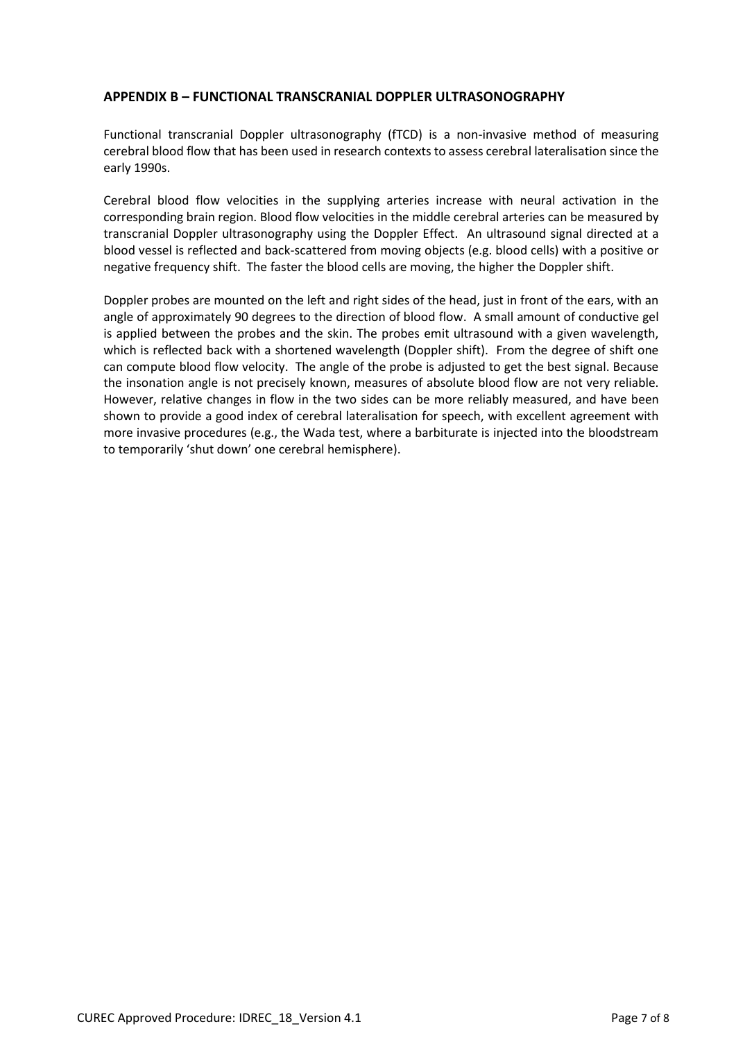#### **APPENDIX B – FUNCTIONAL TRANSCRANIAL DOPPLER ULTRASONOGRAPHY**

Functional transcranial Doppler ultrasonography (fTCD) is a non-invasive method of measuring cerebral blood flow that has been used in research contexts to assess cerebral lateralisation since the early 1990s.

Cerebral blood flow velocities in the supplying arteries increase with neural activation in the corresponding brain region. Blood flow velocities in the middle cerebral arteries can be measured by transcranial Doppler ultrasonography using the Doppler Effect. An ultrasound signal directed at a blood vessel is reflected and back-scattered from moving objects (e.g. blood cells) with a positive or negative frequency shift. The faster the blood cells are moving, the higher the Doppler shift.

Doppler probes are mounted on the left and right sides of the head, just in front of the ears, with an angle of approximately 90 degrees to the direction of blood flow. A small amount of conductive gel is applied between the probes and the skin. The probes emit ultrasound with a given wavelength, which is reflected back with a shortened wavelength (Doppler shift). From the degree of shift one can compute blood flow velocity. The angle of the probe is adjusted to get the best signal. Because the insonation angle is not precisely known, measures of absolute blood flow are not very reliable. However, relative changes in flow in the two sides can be more reliably measured, and have been shown to provide a good index of cerebral lateralisation for speech, with excellent agreement with more invasive procedures (e.g., the Wada test, where a barbiturate is injected into the bloodstream to temporarily 'shut down' one cerebral hemisphere).